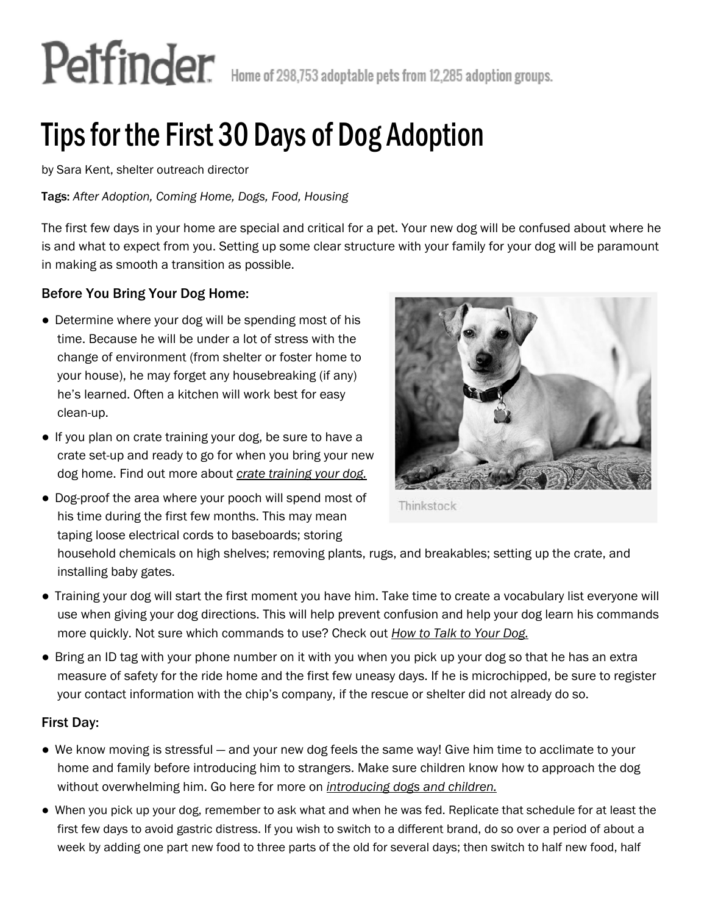# Petfinder. Home of 298,753 adoptable pets from 12,285 adoption groups.

## Tips for the First 30 Days of Dog Adoption

by Sara Kent, shelter outreach director

Tags: *After Adoption, Coming Home, Dogs, Food, Housing*

The first few days in your home are special and critical for a pet. Your new dog will be confused about where he is and what to expect from you. Setting up some clear structure with your family for your dog will be paramount in making as smooth a transition as possible.

### Before You Bring Your Dog Home:

- Determine where your dog will be spending most of his time. Because he will be under a lot of stress with the change of environment (from shelter or foster home to your house), he may forget any housebreaking (if any) he's learned. Often a kitchen will work best for easy clean-up.
- *●* If you plan on crate training your dog, be sure to have a crate set-up and ready to go for when you bring your new dog home. Find out more about *crate training your dog.*
- Dog-proof the area where your pooch will spend most of his time during the first few months. This may mean taping loose electrical cords to baseboards; storing



Thinkstock

household chemicals on high shelves; removing plants, rugs, and breakables; setting up the crate, and installing baby gates.

- *●* Training your dog will start the first moment you have him. Take time to create a vocabulary list everyone will use when giving your dog directions. This will help prevent confusion and help your dog learn his commands more quickly. Not sure which commands to use? Check out *How to Talk to Your Dog.*
- Bring an ID tag with your phone number on it with you when you pick up your dog so that he has an extra measure of safety for the ride home and the first few uneasy days. If he is microchipped, be sure to register your contact information with the chip's company, if the rescue or shelter did not already do so.

### First Day:

- *●* We know moving is stressful and your new dog feels the same way! Give him time to acclimate to your home and family before introducing him to strangers. Make sure children know how to approach the dog without overwhelming him. Go here for more on *introducing dogs and children.*
- *●* When you pick up your dog, remember to ask what and when he was fed. Replicate that schedule for at least the first few days to avoid gastric distress. If you wish to switch to a different brand, do so over a period of about a week by adding one part new food to three parts of the old for several days; then switch to half new food, half